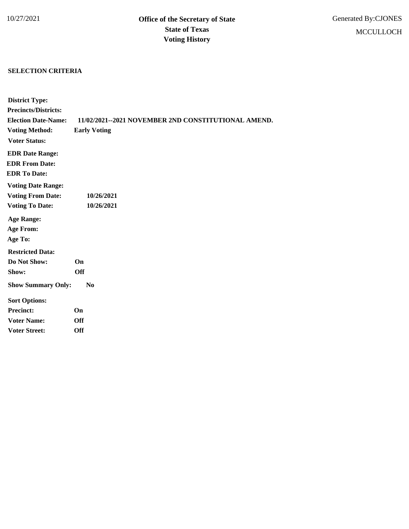## **SELECTION CRITERIA**

| <b>District Type:</b>       |                                                     |
|-----------------------------|-----------------------------------------------------|
| <b>Precincts/Districts:</b> |                                                     |
| <b>Election Date-Name:</b>  | 11/02/2021--2021 NOVEMBER 2ND CONSTITUTIONAL AMEND. |
| <b>Voting Method:</b>       | <b>Early Voting</b>                                 |
| <b>Voter Status:</b>        |                                                     |
| <b>EDR Date Range:</b>      |                                                     |
| <b>EDR From Date:</b>       |                                                     |
| <b>EDR To Date:</b>         |                                                     |
| <b>Voting Date Range:</b>   |                                                     |
| <b>Voting From Date:</b>    | 10/26/2021                                          |
| <b>Voting To Date:</b>      | 10/26/2021                                          |
| <b>Age Range:</b>           |                                                     |
| <b>Age From:</b>            |                                                     |
| Age To:                     |                                                     |
| <b>Restricted Data:</b>     |                                                     |
| Do Not Show:                | On                                                  |
| Show:                       | <b>Off</b>                                          |
| <b>Show Summary Only:</b>   | No                                                  |
| <b>Sort Options:</b>        |                                                     |
| <b>Precinct:</b>            | On                                                  |
| <b>Voter Name:</b>          | <b>Off</b>                                          |
| <b>Voter Street:</b>        | <b>Off</b>                                          |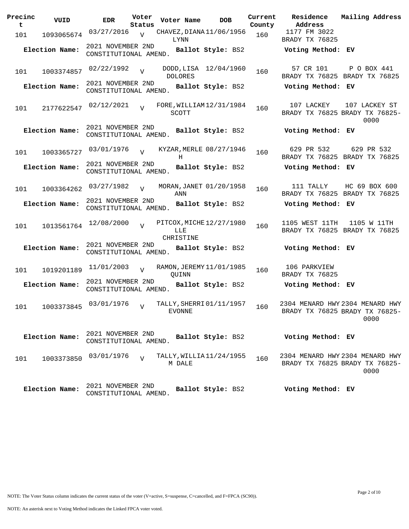| Precinc<br>t | VUID           | <b>EDR</b>                                 | Voter<br>Status | Voter Name                                   | <b>DOB</b>            | Current<br>County | Residence<br>Address                       | Mailing Address                                                           |
|--------------|----------------|--------------------------------------------|-----------------|----------------------------------------------|-----------------------|-------------------|--------------------------------------------|---------------------------------------------------------------------------|
| 101          | 1093065674     | 03/27/2016                                 | $\overline{V}$  | CHAVEZ, DIANA 11/06/1956<br>LYNN             |                       | 160               | 1177 FM 3022<br>BRADY TX 76825             |                                                                           |
|              | Election Name: | 2021 NOVEMBER 2ND<br>CONSTITUTIONAL AMEND. |                 |                                              | Ballot Style: BS2     |                   | Voting Method: EV                          |                                                                           |
| 101          | 1003374857     | 02/22/1992                                 | $\overline{U}$  | <b>DOLORES</b>                               | DODD, LISA 12/04/1960 | 160               | 57 CR 101                                  | P O BOX 441<br>BRADY TX 76825 BRADY TX 76825                              |
|              | Election Name: | 2021 NOVEMBER 2ND<br>CONSTITUTIONAL AMEND. |                 |                                              | Ballot Style: BS2     |                   | Voting Method: EV                          |                                                                           |
| 101          | 2177622547     | 02/12/2021                                 | $\overline{U}$  | FORE, WILLIAM 12/31/1984<br>SCOTT            |                       | 160               | 107 LACKEY                                 | 107 LACKEY ST<br>BRADY TX 76825 BRADY TX 76825-<br>0000                   |
|              | Election Name: | 2021 NOVEMBER 2ND<br>CONSTITUTIONAL AMEND. |                 |                                              | Ballot Style: BS2     |                   | Voting Method: EV                          |                                                                           |
| 101          | 1003365727     | 03/01/1976                                 | $\overline{U}$  | KYZAR, MERLE 08/27/1946<br>H                 |                       | 160               | 629 PR 532                                 | 629 PR 532<br>BRADY TX 76825 BRADY TX 76825                               |
|              | Election Name: | 2021 NOVEMBER 2ND<br>CONSTITUTIONAL AMEND. |                 |                                              | Ballot Style: BS2     |                   | Voting Method: EV                          |                                                                           |
| 101          | 1003364262     | 03/27/1982                                 | $\overline{U}$  | MORAN, JANET 01/20/1958<br>ANN               |                       | 160               | 111 TALLY<br>BRADY TX 76825 BRADY TX 76825 | HC 69 BOX 600                                                             |
|              | Election Name: | 2021 NOVEMBER 2ND<br>CONSTITUTIONAL AMEND. |                 |                                              | Ballot Style: BS2     |                   | Voting Method: EV                          |                                                                           |
| 101          | 1013561764     | 12/08/2000                                 | $\overline{z}$  | PITCOX, MICHE 12/27/1980<br>LLE<br>CHRISTINE |                       | 160               | 1105 WEST 11TH                             | 1105 W 11TH<br>BRADY TX 76825 BRADY TX 76825                              |
|              | Election Name: | 2021 NOVEMBER 2ND<br>CONSTITUTIONAL AMEND. |                 |                                              | Ballot Style: BS2     |                   | Voting Method: EV                          |                                                                           |
| 101          | 1019201189     | 11/01/2003                                 | $\overline{U}$  | RAMON, JEREMY 11/01/1985<br>QUINN            |                       | 160               | 106 PARKVIEW<br>BRADY TX 76825             |                                                                           |
|              | Election Name: | 2021 NOVEMBER 2ND<br>CONSTITUTIONAL AMEND. |                 |                                              | Ballot Style: BS2     |                   | Voting Method: EV                          |                                                                           |
| 101          | 1003373845     | 03/01/1976                                 | $\overline{U}$  | TALLY, SHERRI 01/11/1957<br>EVONNE           |                       | 160               |                                            | 2304 MENARD HWY 2304 MENARD HWY<br>BRADY TX 76825 BRADY TX 76825-<br>0000 |
|              | Election Name: | 2021 NOVEMBER 2ND<br>CONSTITUTIONAL AMEND. |                 |                                              | Ballot Style: BS2     |                   | Voting Method: EV                          |                                                                           |
| 101          | 1003373850     | 03/01/1976                                 |                 | TALLY, WILLIA11/24/1955<br>M DALE            |                       | 160               |                                            | 2304 MENARD HWY 2304 MENARD HWY<br>BRADY TX 76825 BRADY TX 76825-<br>0000 |
|              | Election Name: | 2021 NOVEMBER 2ND<br>CONSTITUTIONAL AMEND. |                 |                                              | Ballot Style: BS2     |                   | Voting Method: EV                          |                                                                           |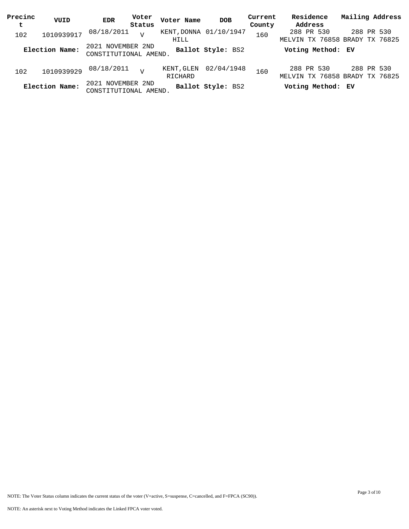| Precinc | VUID           | <b>EDR</b>                                 | Voter  | Voter Name            | <b>DOB</b>             | Current | Residence                                    | Mailing Address |
|---------|----------------|--------------------------------------------|--------|-----------------------|------------------------|---------|----------------------------------------------|-----------------|
| t       |                |                                            | Status |                       |                        | County  | Address                                      |                 |
| 102     | 1010939917     | 08/18/2011                                 |        | HILL                  | KENT, DONNA 01/10/1947 | 160     | 288 PR 530<br>MELVIN TX 76858 BRADY TX 76825 | 288 PR 530      |
|         | Election Name: | 2021 NOVEMBER 2ND<br>CONSTITUTIONAL AMEND. |        |                       | Ballot Style: BS2      |         | Voting Method: EV                            |                 |
| 102     | 1010939929     | 08/18/2011                                 |        | KENT, GLEN<br>RICHARD | 02/04/1948             | 160     | 288 PR 530<br>MELVIN TX 76858 BRADY TX 76825 | 288 PR 530      |
|         | Election Name: | 2021 NOVEMBER 2ND<br>CONSTITUTIONAL AMEND. |        |                       | Ballot Style: BS2      |         | Voting Method: EV                            |                 |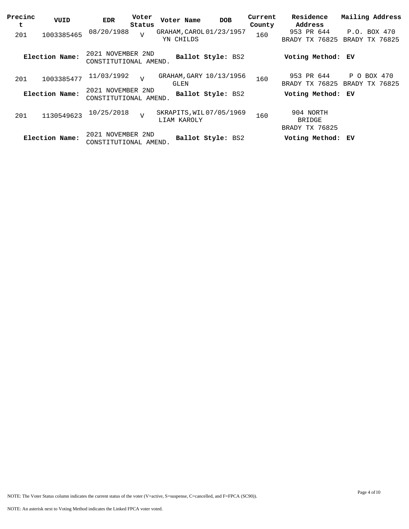| Precinc<br>t | VUID           | <b>EDR</b>                                 | Voter<br>Status | Voter Name                             | <b>DOB</b>        | Current<br>County | Residence<br>Address                         | Mailing Address                           |
|--------------|----------------|--------------------------------------------|-----------------|----------------------------------------|-------------------|-------------------|----------------------------------------------|-------------------------------------------|
| 201          | 1003385465     | 08/20/1988                                 | $\overline{V}$  | GRAHAM, CAROL 01/23/1957<br>YN CHILDS  |                   | 160               | 953 PR 644<br>BRADY TX 76825                 | P.O. BOX 470<br>BRADY TX 76825            |
|              | Election Name: | 2021 NOVEMBER 2ND<br>CONSTITUTIONAL AMEND. |                 |                                        | Ballot Style: BS2 |                   | Voting Method: EV                            |                                           |
| 201          | 1003385477     | 11/03/1992                                 | $\overline{z}$  | GRAHAM, GARY 10/13/1956<br>GLEN        |                   | 160               | 953 PR 644<br>BRADY TX 76825                 | P<br>BOX 470<br>$\circ$<br>BRADY TX 76825 |
|              | Election Name: | 2021 NOVEMBER 2ND<br>CONSTITUTIONAL AMEND. |                 |                                        | Ballot Style: BS2 |                   | Voting Method: EV                            |                                           |
| 201          | 1130549623     | 10/25/2018                                 | $\overline{V}$  | SKRAPITS, WIL07/05/1969<br>LIAM KAROLY |                   | 160               | 904 NORTH<br><b>BRIDGE</b><br>BRADY TX 76825 |                                           |
|              | Election Name: | 2021 NOVEMBER 2ND<br>CONSTITUTIONAL AMEND. |                 |                                        | Ballot Style: BS2 |                   | Voting Method: EV                            |                                           |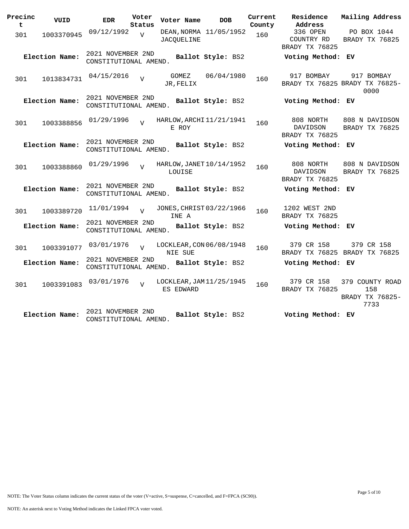| Precinc<br>t. | VUID           | <b>EDR</b>                                 | Voter<br>Status | Voter Name                            | <b>DOB</b>             | Current<br>County | Residence<br>Address                     | Mailing Address                                      |
|---------------|----------------|--------------------------------------------|-----------------|---------------------------------------|------------------------|-------------------|------------------------------------------|------------------------------------------------------|
| 301           | 1003370945     | 09/12/1992                                 | $\overline{U}$  | <b>JACOUELINE</b>                     | DEAN, NORMA 11/05/1952 | 160               | 336 OPEN<br>COUNTRY RD<br>BRADY TX 76825 | PO BOX 1044<br>BRADY TX 76825                        |
|               | Election Name: | 2021 NOVEMBER 2ND<br>CONSTITUTIONAL AMEND. |                 |                                       | Ballot Style: BS2      |                   | Voting Method: EV                        |                                                      |
| 301           | 1013834731     | 04/15/2016                                 | $\overline{V}$  | GOMEZ<br>JR, FELIX                    | 06/04/1980             | 160               | 917 BOMBAY                               | 917 BOMBAY<br>BRADY TX 76825 BRADY TX 76825-<br>0000 |
|               | Election Name: | 2021 NOVEMBER 2ND<br>CONSTITUTIONAL AMEND. |                 |                                       | Ballot Style: BS2      |                   | Voting Method: EV                        |                                                      |
| 301           | 1003388856     | 01/29/1996                                 | $\overline{z}$  | HARLOW, ARCHI 11/21/1941<br>E ROY     |                        | 160               | 808 NORTH<br>DAVIDSON<br>BRADY TX 76825  | 808 N DAVIDSON<br>BRADY TX 76825                     |
|               | Election Name: | 2021 NOVEMBER 2ND<br>CONSTITUTIONAL AMEND. |                 |                                       | Ballot Style: BS2      |                   | Voting Method: EV                        |                                                      |
| 301           | 1003388860     | 01/29/1996                                 | $\overline{z}$  | HARLOW, JANET 10/14/1952<br>LOUISE    |                        | 160               | 808 NORTH<br>DAVIDSON<br>BRADY TX 76825  | 808 N DAVIDSON<br>BRADY TX 76825                     |
|               | Election Name: | 2021 NOVEMBER 2ND<br>CONSTITUTIONAL AMEND. |                 |                                       | Ballot Style: BS2      |                   | Voting Method: EV                        |                                                      |
| 301           | 1003389720     | 11/01/1994                                 |                 | JONES, CHRIST 03/22/1966<br>INE A     |                        | 160               | 1202 WEST 2ND<br>BRADY TX 76825          |                                                      |
|               | Election Name: | 2021 NOVEMBER 2ND<br>CONSTITUTIONAL AMEND. |                 |                                       | Ballot Style: BS2      |                   | Voting Method: EV                        |                                                      |
| 301           | 1003391077     | 03/01/1976                                 |                 | LOCKLEAR, CON 06/08/1948<br>NIE SUE   |                        | 160               | 379 CR 158                               | 379 CR 158<br>BRADY TX 76825 BRADY TX 76825          |
|               | Election Name: | 2021 NOVEMBER 2ND<br>CONSTITUTIONAL AMEND. |                 |                                       | Ballot Style: BS2      |                   | Voting Method: EV                        |                                                      |
| 301           | 1003391083     | 03/01/1976                                 | $\overline{z}$  | LOCKLEAR, JAM 11/25/1945<br>ES EDWARD |                        | 160               | 379 CR 158<br>BRADY TX 76825             | 379 COUNTY ROAD<br>158<br>BRADY TX 76825-<br>7733    |
|               | Election Name: | 2021 NOVEMBER 2ND<br>CONSTITUTIONAL AMEND. |                 |                                       | Ballot Style: BS2      |                   | Voting Method: EV                        |                                                      |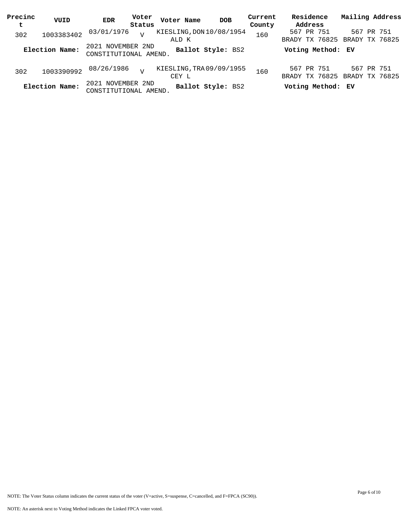| Precinc | VUID           | <b>EDR</b>                                 | Voter  | Voter Name | <b>DOB</b>               | Current | Residence                                          | Mailing Address              |  |
|---------|----------------|--------------------------------------------|--------|------------|--------------------------|---------|----------------------------------------------------|------------------------------|--|
| t       |                |                                            | Status |            |                          | County  | Address                                            |                              |  |
| 302     | 1003383402     | 03/01/1976                                 | T      |            | KIESLING, DON 10/08/1954 | 160     | 567 PR 751                                         | 567 PR 751                   |  |
|         | Election Name: | 2021 NOVEMBER 2ND<br>CONSTITUTIONAL AMEND. |        | ALD K      | Ballot Style: BS2        |         | BRADY TX 76825 BRADY TX 76825<br>Voting Method: EV |                              |  |
| 302     | 1003390992     | 08/26/1986                                 | T      | CEY L      | KIESLING, TRA 09/09/1955 | 160     | 567 PR 751<br>BRADY TX 76825                       | 567 PR 751<br>BRADY TX 76825 |  |
|         | Election Name: | 2021 NOVEMBER 2ND<br>CONSTITUTIONAL AMEND. |        |            | Ballot Style: BS2        |         | Voting Method: EV                                  |                              |  |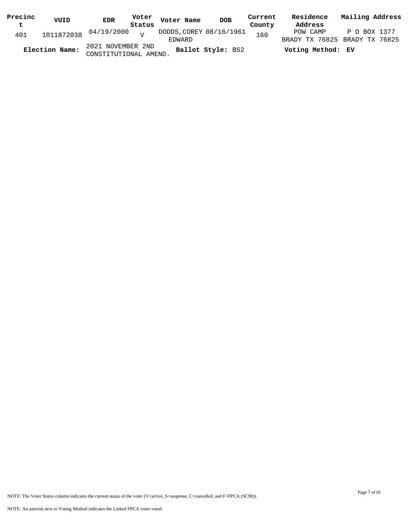| Precinc<br>$\mathbf t$ | VUID           | EDR                                        | Status | Voter Voter Name                  | <b>DOB</b>        | Current<br>County | Residence<br>Address | Mailing Address                               |
|------------------------|----------------|--------------------------------------------|--------|-----------------------------------|-------------------|-------------------|----------------------|-----------------------------------------------|
| 401                    |                | $1011872038$ $04/19/2000$ v                |        | DODDS, COREY 08/16/1961<br>EDWARD |                   | 160               | POW CAMP             | P O BOX 1377<br>BRADY TX 76825 BRADY TX 76825 |
|                        | Election Name: | 2021 NOVEMBER 2ND<br>CONSTITUTIONAL AMEND. |        |                                   | Ballot Style: BS2 |                   | Voting Method: EV    |                                               |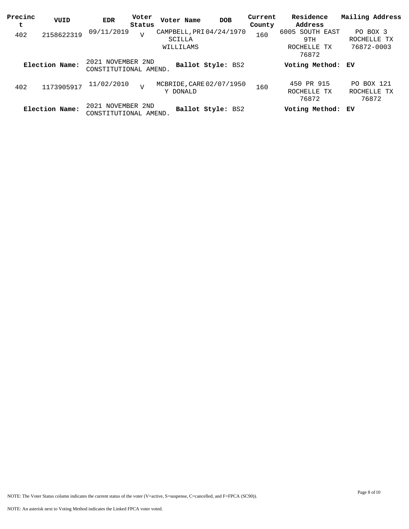| Precinc<br>t | VUID           | <b>EDR</b>                                 | Voter<br>Status | Voter Name                                      | <b>DOB</b>        | Current<br>County | Residence<br>Address                           | Mailing Address                       |
|--------------|----------------|--------------------------------------------|-----------------|-------------------------------------------------|-------------------|-------------------|------------------------------------------------|---------------------------------------|
| 402          | 2158622319     | 09/11/2019                                 | $\overline{V}$  | CAMPBELL, PRI 04/24/1970<br>SCILLA<br>WILLILAMS |                   | 160               | 6005 SOUTH EAST<br>9TH<br>ROCHELLE TX<br>76872 | PO BOX 3<br>ROCHELLE TX<br>76872-0003 |
|              | Election Name: | 2021 NOVEMBER 2ND<br>CONSTITUTIONAL AMEND. |                 |                                                 | Ballot Style: BS2 |                   | Voting Method: EV                              |                                       |
| 402          | 1173905917     | 11/02/2010                                 | $\overline{V}$  | MCBRIDE, CARE 02/07/1950<br>Y DONALD            |                   | 160               | 450 PR 915<br>ROCHELLE TX<br>76872             | PO BOX 121<br>ROCHELLE TX<br>76872    |
|              | Election Name: | 2021 NOVEMBER 2ND<br>CONSTITUTIONAL AMEND. |                 |                                                 | Ballot Style: BS2 |                   | Voting Method: EV                              |                                       |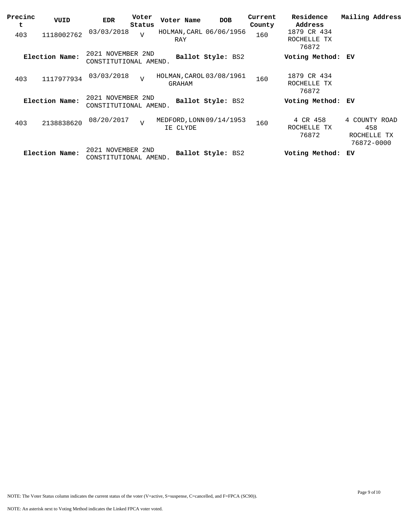| Precinc<br>t | VUID           | <b>EDR</b>                                 | Voter<br>Status | Voter Name                           | <b>DOB</b>        | Current<br>County | Residence<br>Address                | Mailing Address                                   |
|--------------|----------------|--------------------------------------------|-----------------|--------------------------------------|-------------------|-------------------|-------------------------------------|---------------------------------------------------|
| 403          | 1118002762     | 03/03/2018                                 | $\overline{V}$  | HOLMAN, CARL 06/06/1956<br>RAY       |                   | 160               | 1879 CR 434<br>ROCHELLE TX<br>76872 |                                                   |
|              | Election Name: | 2021 NOVEMBER 2ND<br>CONSTITUTIONAL AMEND. |                 |                                      | Ballot Style: BS2 |                   | Voting Method: EV                   |                                                   |
| 403          | 1117977934     | 03/03/2018                                 | $\overline{U}$  | HOLMAN, CAROL 03/08/1961<br>GRAHAM   |                   | 160               | 1879 CR 434<br>ROCHELLE TX<br>76872 |                                                   |
|              | Election Name: | 2021 NOVEMBER 2ND<br>CONSTITUTIONAL AMEND. |                 |                                      | Ballot Style: BS2 |                   | Voting Method:                      | EV                                                |
| 403          | 2138838620     | 08/20/2017                                 | $\overline{v}$  | MEDFORD, LONN 09/14/1953<br>IE CLYDE |                   | 160               | 4 CR 458<br>ROCHELLE TX<br>76872    | 4 COUNTY ROAD<br>458<br>ROCHELLE TX<br>76872-0000 |
|              | Election Name: | 2021 NOVEMBER<br>CONSTITUTIONAL AMEND.     | 2ND             |                                      | Ballot Style: BS2 |                   | Voting Method:                      | ЕV                                                |